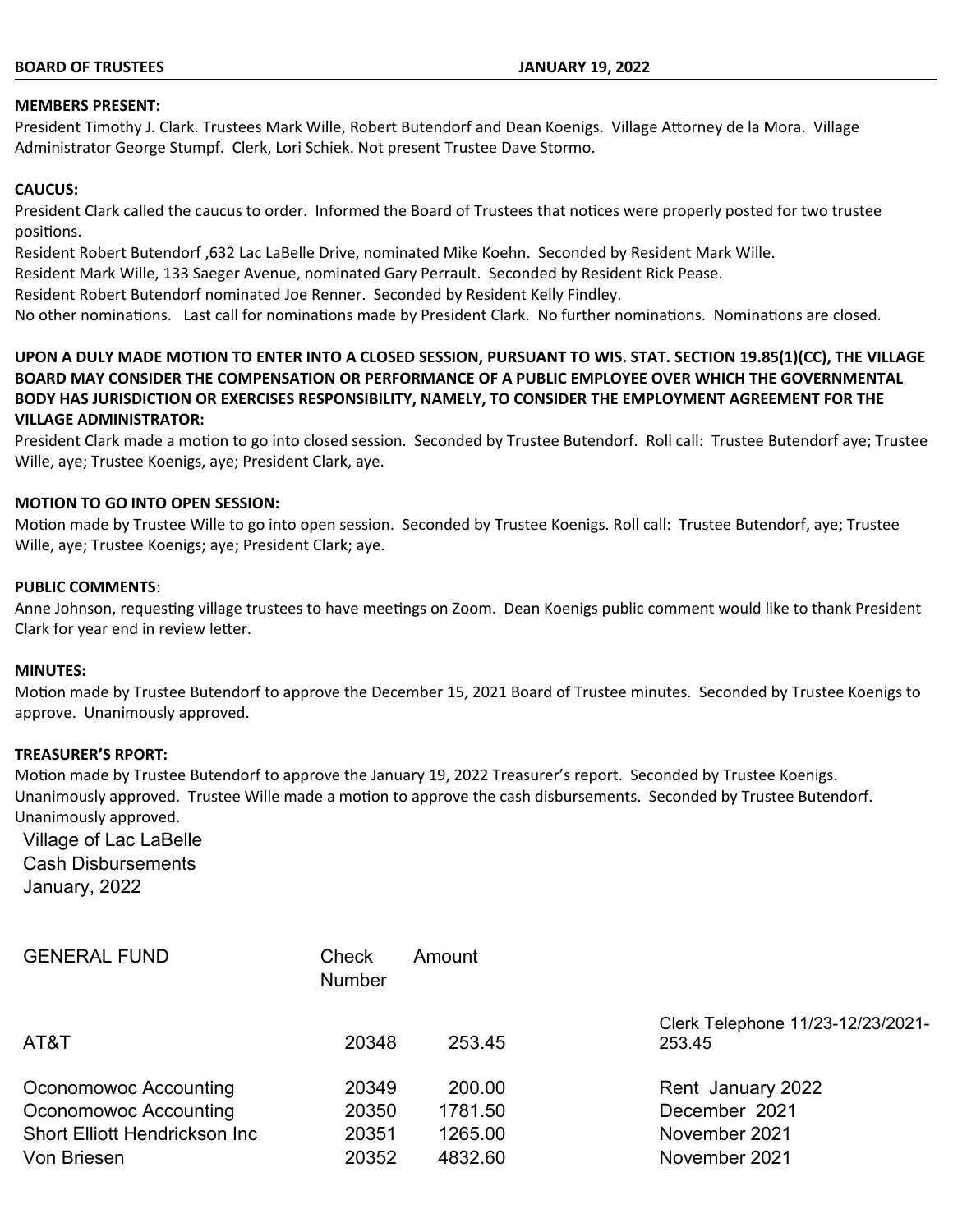## **BOARD OF TRUSTEES JANUARY 19, 2022**

## **MEMBERS PRESENT:**

President Timothy J. Clark. Trustees Mark Wille, Robert Butendorf and Dean Koenigs. Village Attorney de la Mora. Village Administrator George Stumpf. Clerk, Lori Schiek. Not present Trustee Dave Stormo.

### **CAUCUS:**

President Clark called the caucus to order. Informed the Board of Trustees that notices were properly posted for two trustee positions.

Resident Robert Butendorf ,632 Lac LaBelle Drive, nominated Mike Koehn. Seconded by Resident Mark Wille.

Resident Mark Wille, 133 Saeger Avenue, nominated Gary Perrault. Seconded by Resident Rick Pease.

Resident Robert Butendorf nominated Joe Renner. Seconded by Resident Kelly Findley.

No other nominations. Last call for nominations made by President Clark. No further nominations. Nominations are closed.

# **UPON A DULY MADE MOTION TO ENTER INTO A CLOSED SESSION, PURSUANT TO WIS. STAT. SECTION 19.85(1)(CC), THE VILLAGE BOARD MAY CONSIDER THE COMPENSATION OR PERFORMANCE OF A PUBLIC EMPLOYEE OVER WHICH THE GOVERNMENTAL BODY HAS JURISDICTION OR EXERCISES RESPONSIBILITY, NAMELY, TO CONSIDER THE EMPLOYMENT AGREEMENT FOR THE VILLAGE ADMINISTRATOR:**

President Clark made a motion to go into closed session. Seconded by Trustee Butendorf. Roll call: Trustee Butendorf aye; Trustee Wille, aye; Trustee Koenigs, aye; President Clark, aye.

## **MOTION TO GO INTO OPEN SESSION:**

Motion made by Trustee Wille to go into open session. Seconded by Trustee Koenigs. Roll call: Trustee Butendorf, aye; Trustee Wille, aye; Trustee Koenigs; aye; President Clark; aye.

#### **PUBLIC COMMENTS**:

Anne Johnson, requesting village trustees to have meetings on Zoom. Dean Koenigs public comment would like to thank President Clark for year end in review letter.

### **MINUTES:**

Motion made by Trustee Butendorf to approve the December 15, 2021 Board of Trustee minutes. Seconded by Trustee Koenigs to approve. Unanimously approved.

#### **TREASURER'S RPORT:**

Motion made by Trustee Butendorf to approve the January 19, 2022 Treasurer's report. Seconded by Trustee Koenigs. Unanimously approved. Trustee Wille made a motion to approve the cash disbursements. Seconded by Trustee Butendorf. Unanimously approved.

Village of Lac LaBelle Cash Disbursements January, 2022

| <b>GENERAL FUND</b>                   | Check<br><b>Number</b> | Amount  |                                             |
|---------------------------------------|------------------------|---------|---------------------------------------------|
| AT&T                                  | 20348                  | 253.45  | Clerk Telephone 11/23-12/23/2021-<br>253.45 |
| Oconomowoc Accounting                 | 20349                  | 200.00  | Rent January 2022                           |
| Oconomowoc Accounting                 | 20350                  | 1781.50 | December 2021                               |
| <b>Short Elliott Hendrickson Inc.</b> | 20351                  | 1265.00 | November 2021                               |
| Von Briesen                           | 20352                  | 4832.60 | November 2021                               |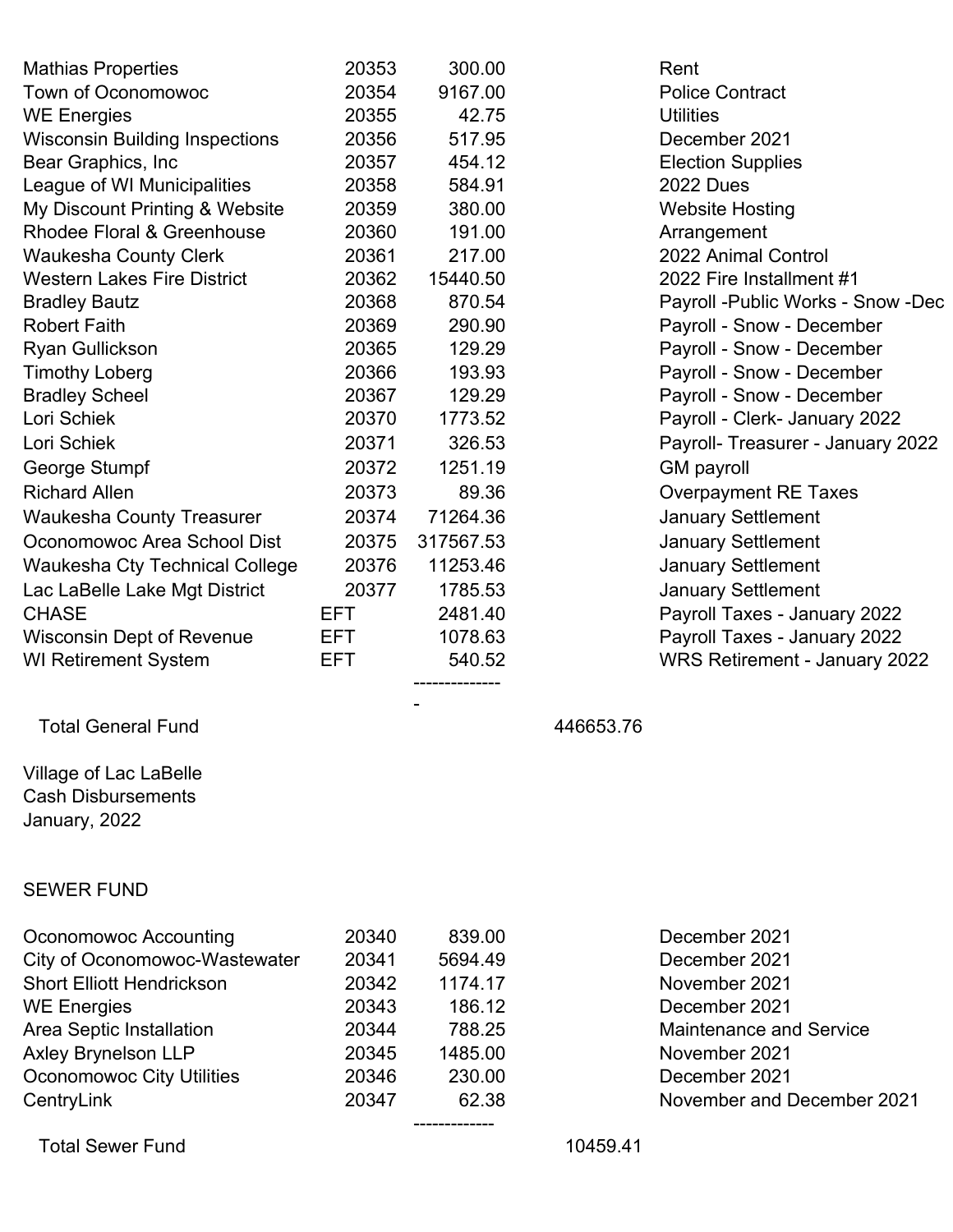| <b>Mathias Properties</b>             | 20353      | 300.00    | Rent                                 |
|---------------------------------------|------------|-----------|--------------------------------------|
| <b>Town of Oconomowoc</b>             | 20354      | 9167.00   | <b>Police Contract</b>               |
| <b>WE Energies</b>                    | 20355      | 42.75     | <b>Utilities</b>                     |
| <b>Wisconsin Building Inspections</b> | 20356      | 517.95    | December 2021                        |
| Bear Graphics, Inc.                   | 20357      | 454.12    | <b>Election Supplies</b>             |
| League of WI Municipalities           | 20358      | 584.91    | <b>2022 Dues</b>                     |
| My Discount Printing & Website        | 20359      | 380.00    | <b>Website Hosting</b>               |
| Rhodee Floral & Greenhouse            | 20360      | 191.00    | Arrangement                          |
| <b>Waukesha County Clerk</b>          | 20361      | 217.00    | 2022 Animal Control                  |
| <b>Western Lakes Fire District</b>    | 20362      | 15440.50  | 2022 Fire Installment #1             |
| <b>Bradley Bautz</b>                  | 20368      | 870.54    | Payroll - Public Works - Snow - Dec  |
| <b>Robert Faith</b>                   | 20369      | 290.90    | Payroll - Snow - December            |
| <b>Ryan Gullickson</b>                | 20365      | 129.29    | Payroll - Snow - December            |
| <b>Timothy Loberg</b>                 | 20366      | 193.93    | Payroll - Snow - December            |
| <b>Bradley Scheel</b>                 | 20367      | 129.29    | Payroll - Snow - December            |
| Lori Schiek                           | 20370      | 1773.52   | Payroll - Clerk- January 2022        |
| Lori Schiek                           | 20371      | 326.53    | Payroll- Treasurer - January 2022    |
| George Stumpf                         | 20372      | 1251.19   | <b>GM</b> payroll                    |
| <b>Richard Allen</b>                  | 20373      | 89.36     | <b>Overpayment RE Taxes</b>          |
| <b>Waukesha County Treasurer</b>      | 20374      | 71264.36  | <b>January Settlement</b>            |
| Oconomowoc Area School Dist           | 20375      | 317567.53 | January Settlement                   |
| Waukesha Cty Technical College        | 20376      | 11253.46  | <b>January Settlement</b>            |
| Lac LaBelle Lake Mgt District         | 20377      | 1785.53   | <b>January Settlement</b>            |
| <b>CHASE</b>                          | <b>EFT</b> | 2481.40   | Payroll Taxes - January 2022         |
| <b>Wisconsin Dept of Revenue</b>      | EFT.       | 1078.63   | Payroll Taxes - January 2022         |
| <b>WI Retirement System</b>           | EFT.       | 540.52    | <b>WRS Retirement - January 2022</b> |
|                                       |            |           |                                      |

Total General Fund 446653.76

**-** Andrea Maria Maria Maria Maria Maria Maria Maria Maria Maria Maria Maria Maria Maria Maria Maria Maria Maria M<br>A Maria Maria Maria Maria Maria Maria Maria Maria Maria Maria Maria Maria Maria Maria Maria Maria Maria Mar

Village of Lac LaBelle Cash Disbursements January, 2022

# SEWER FUND

| Oconomowoc Accounting                | 20340 | 839.00  |  |
|--------------------------------------|-------|---------|--|
| <b>City of Oconomowoc-Wastewater</b> | 20341 | 5694.49 |  |
| <b>Short Elliott Hendrickson</b>     | 20342 | 1174.17 |  |
| <b>WE Energies</b>                   | 20343 | 186.12  |  |
| Area Septic Installation             | 20344 | 788.25  |  |
| <b>Axley Brynelson LLP</b>           | 20345 | 1485.00 |  |
| <b>Oconomowoc City Utilities</b>     | 20346 | 230.00  |  |
| CentryLink                           | 20347 | 62.38   |  |
|                                      |       |         |  |

Total Sewer Fund 10459.41

December 2021 December 2021 November 2021 December 2021

November 2021 December 2021

Maintenance and Service

November and December 2021